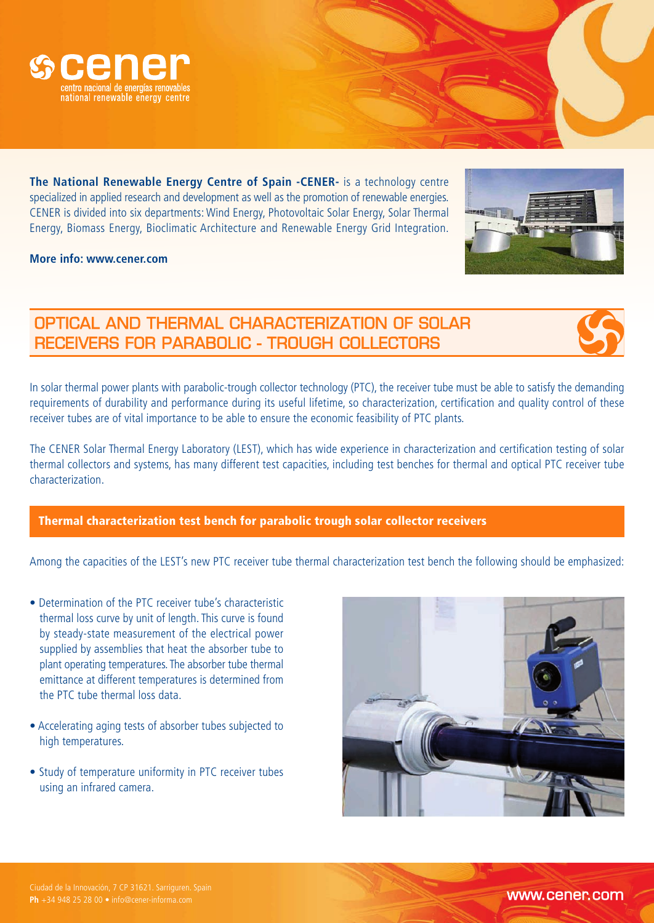

**The National Renewable Energy Centre of Spain -CENER-** is a technology centre specialized in applied research and development as well as the promotion of renewable energies. CENER is divided into six departments: Wind Energy, Photovoltaic Solar Energy, Solar Thermal Energy, Biomass Energy, Bioclimatic Architecture and Renewable Energy Grid Integration.

**More info: www.cener.com**

## OPTICAL AND THERMAL CHARACTERIZATION OF SOLAR RECEIVERS FOR PARABOLIC - TROUGH COLLECTORS

In solar thermal power plants with parabolic-trough collector technology (PTC), the receiver tube must be able to satisfy the demanding requirements of durability and performance during its useful lifetime, so characterization, certification and quality control of these receiver tubes are of vital importance to be able to ensure the economic feasibility of PTC plants.

The CENER Solar Thermal Energy Laboratory (LEST), which has wide experience in characterization and certification testing of solar thermal collectors and systems, has many different test capacities, including test benches for thermal and optical PTC receiver tube characterization.

## Thermal characterization test bench for parabolic trough solar collector receivers

Among the capacities of the LEST's new PTC receiver tube thermal characterization test bench the following should be emphasized:

- Determination of the PTC receiver tube's characteristic thermal loss curve by unit of length. This curve is found by steady-state measurement of the electrical power supplied by assemblies that heat the absorber tube to plant operating temperatures. The absorber tube thermal emittance at different temperatures is determined from the PTC tube thermal loss data.
- Accelerating aging tests of absorber tubes subjected to high temperatures.
- Study of temperature uniformity in PTC receiver tubes using an infrared camera.